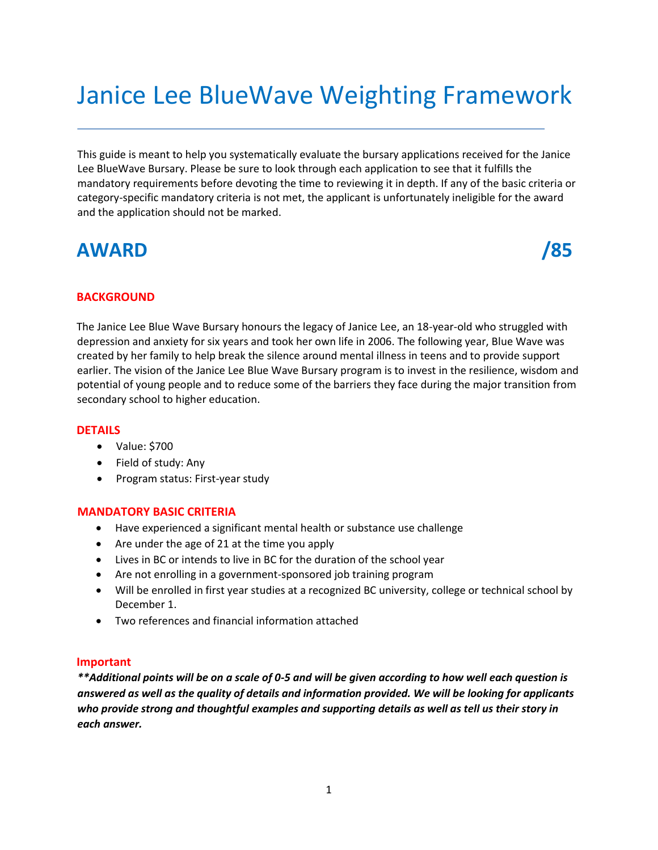# Janice Lee BlueWave Weighting Framework

This guide is meant to help you systematically evaluate the bursary applications received for the Janice Lee BlueWave Bursary. Please be sure to look through each application to see that it fulfills the mandatory requirements before devoting the time to reviewing it in depth. If any of the basic criteria or category-specific mandatory criteria is not met, the applicant is unfortunately ineligible for the award and the application should not be marked.

## **AWARD /85**



### **BACKGROUND**

The Janice Lee Blue Wave Bursary honours the legacy of Janice Lee, an 18-year-old who struggled with depression and anxiety for six years and took her own life in 2006. The following year, Blue Wave was created by her family to help break the silence around mental illness in teens and to provide support earlier. The vision of the Janice Lee Blue Wave Bursary program is to invest in the resilience, wisdom and potential of young people and to reduce some of the barriers they face during the major transition from secondary school to higher education.

### **DETAILS**

- Value: \$700
- Field of study: Any
- Program status: First-year study

### **MANDATORY BASIC CRITERIA**

- Have experienced a significant mental health or substance use challenge
- Are under the age of 21 at the time you apply
- Lives in BC or intends to live in BC for the duration of the school year
- Are not enrolling in a government-sponsored job training program
- Will be enrolled in first year studies at a recognized BC university, college or technical school by December 1.
- Two references and financial information attached

### **Important**

*\*\*Additional points will be on a scale of 0-5 and will be given according to how well each question is answered as well as the quality of details and information provided. We will be looking for applicants who provide strong and thoughtful examples and supporting details as well as tell us their story in each answer.*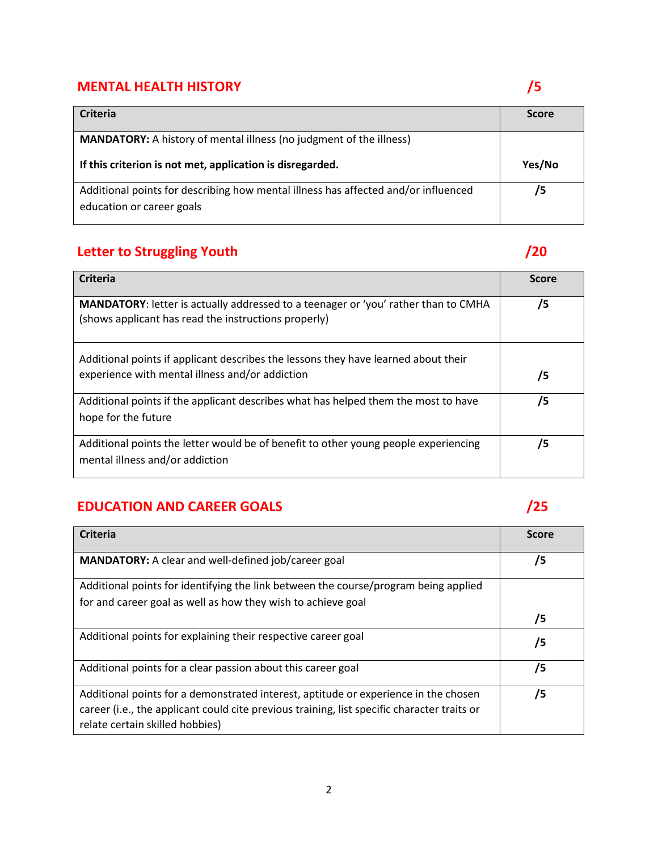## **MENTAL HEALTH HISTORY** *S*

| Criteria                                                                                                        | <b>Score</b> |
|-----------------------------------------------------------------------------------------------------------------|--------------|
| <b>MANDATORY:</b> A history of mental illness (no judgment of the illness)                                      |              |
| If this criterion is not met, application is disregarded.                                                       | Yes/No       |
| Additional points for describing how mental illness has affected and/or influenced<br>education or career goals | /5           |

## **Letter to Struggling Youth** */***20**

| <b>Criteria</b>                                                                                                                            | <b>Score</b> |
|--------------------------------------------------------------------------------------------------------------------------------------------|--------------|
| MANDATORY: letter is actually addressed to a teenager or 'you' rather than to CMHA<br>(shows applicant has read the instructions properly) | /5           |
| Additional points if applicant describes the lessons they have learned about their<br>experience with mental illness and/or addiction      | /5           |
| Additional points if the applicant describes what has helped them the most to have<br>hope for the future                                  | /5           |
| Additional points the letter would be of benefit to other young people experiencing<br>mental illness and/or addiction                     | 75           |

## **EDUCATION AND CAREER GOALS** *CONTRACTION AND CAREER GOALS*

| <b>Criteria</b>                                                                             | <b>Score</b> |
|---------------------------------------------------------------------------------------------|--------------|
| MANDATORY: A clear and well-defined job/career goal                                         | /5           |
| Additional points for identifying the link between the course/program being applied         |              |
| for and career goal as well as how they wish to achieve goal                                |              |
|                                                                                             | /5           |
| Additional points for explaining their respective career goal                               | /5           |
| Additional points for a clear passion about this career goal                                | /5           |
| Additional points for a demonstrated interest, aptitude or experience in the chosen         | /5           |
| career (i.e., the applicant could cite previous training, list specific character traits or |              |
| relate certain skilled hobbies)                                                             |              |